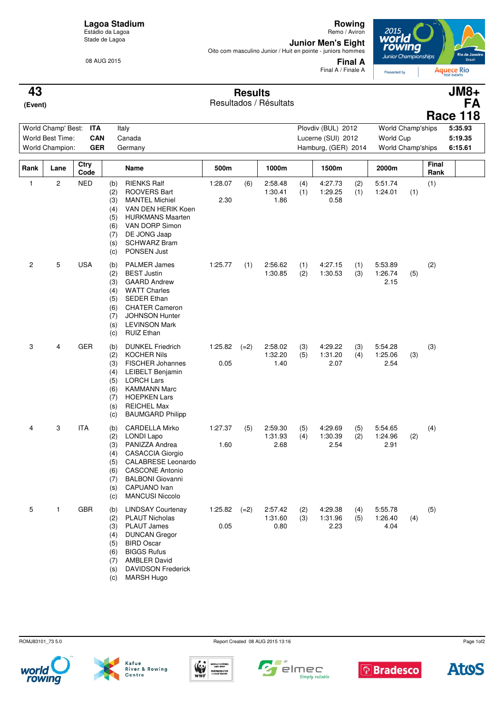### **Lagoa Stadium** Estádio da Lagoa

Stade de Lagoa

08 AUG 2015

**Rowing** Remo / Aviron

**Junior Men's Eight**<br>Oito com masculino Junior / Huit en pointe - juniors hommes



**Final A** Final A / Finale A

**Aquece Rio** 

### **Results 43 JM8+**

| . . 69                 |  |
|------------------------|--|
| Resultados / Résultats |  |

| 43<br>(Event)                                                                                |                |              |                                                                                                                                                                                                                                                                                        |                 | <b>Results</b> | Resultados / Résultats     |            |                                                                 |            |                                                     |     |                      | $JM8+$<br><b>FA</b><br><b>Race 118</b> |
|----------------------------------------------------------------------------------------------|----------------|--------------|----------------------------------------------------------------------------------------------------------------------------------------------------------------------------------------------------------------------------------------------------------------------------------------|-----------------|----------------|----------------------------|------------|-----------------------------------------------------------------|------------|-----------------------------------------------------|-----|----------------------|----------------------------------------|
| World Champ' Best:<br><b>ITA</b><br>World Best Time:<br>CAN<br>World Champion:<br><b>GER</b> |                |              | Italy<br>Canada<br>Germany                                                                                                                                                                                                                                                             |                 |                |                            |            | Plovdiv (BUL) 2012<br>Lucerne (SUI) 2012<br>Hamburg, (GER) 2014 |            | World Champ'ships<br>World Cup<br>World Champ'ships |     |                      | 5:35.93<br>5:19.35<br>6:15.61          |
| Rank                                                                                         | Lane           | Ctry<br>Code | Name                                                                                                                                                                                                                                                                                   | 500m            |                | 1000m                      |            | 1500m                                                           |            | 2000m                                               |     | <b>Final</b><br>Rank |                                        |
| $\mathbf{1}$                                                                                 | $\overline{c}$ | <b>NED</b>   | <b>RIENKS Ralf</b><br>(b)<br><b>ROOVERS Bart</b><br>(2)<br><b>MANTEL Michiel</b><br>(3)<br>VAN DEN HERIK Koen<br>(4)<br><b>HURKMANS Maarten</b><br>(5)<br>VAN DORP Simon<br>(6)<br>DE JONG Jaap<br>(7)<br><b>SCHWARZ Bram</b><br>(s)<br>PONSEN Just<br>(c)                             | 1:28.07<br>2.30 | (6)            | 2:58.48<br>1:30.41<br>1.86 | (4)<br>(1) | 4:27.73<br>1:29.25<br>0.58                                      | (2)<br>(1) | 5:51.74<br>1:24.01                                  | (1) | (1)                  |                                        |
| 2                                                                                            | 5              | <b>USA</b>   | <b>PALMER James</b><br>(b)<br><b>BEST Justin</b><br>(2)<br><b>GAARD Andrew</b><br>(3)<br><b>WATT Charles</b><br>(4)<br><b>SEDER Ethan</b><br>(5)<br><b>CHATER Cameron</b><br>(6)<br><b>JOHNSON Hunter</b><br>(7)<br><b>LEVINSON Mark</b><br>(s)<br><b>RUIZ Ethan</b><br>(c)            | 1:25.77         | (1)            | 2:56.62<br>1:30.85         | (1)<br>(2) | 4:27.15<br>1:30.53                                              | (1)<br>(3) | 5:53.89<br>1:26.74<br>2.15                          | (5) | (2)                  |                                        |
| 3                                                                                            | 4              | <b>GER</b>   | <b>DUNKEL Friedrich</b><br>(b)<br><b>KOCHER Nils</b><br>(2)<br><b>FISCHER Johannes</b><br>(3)<br><b>LEIBELT Benjamin</b><br>(4)<br><b>LORCH Lars</b><br>(5)<br><b>KAMMANN Marc</b><br>(6)<br><b>HOEPKEN Lars</b><br>(7)<br><b>REICHEL Max</b><br>(s)<br><b>BAUMGARD Philipp</b><br>(c) | 1:25.82<br>0.05 | $(=2)$         | 2:58.02<br>1:32.20<br>1.40 | (3)<br>(5) | 4:29.22<br>1:31.20<br>2.07                                      | (3)<br>(4) | 5:54.28<br>1:25.06<br>2.54                          | (3) | (3)                  |                                        |

| 4 | 3 | <b>ITA</b> | (b)<br>(2) | <b>CARDELLA Mirko</b><br>LONDI Lapo | 1:27.37 | (5)    | 2:59.30<br>1:31.93 | (5)<br>(4) | 4:29.69<br>1:30.39 | (5)<br>(2) | 5:54.65<br>1:24.96 | (2) | (4) |
|---|---|------------|------------|-------------------------------------|---------|--------|--------------------|------------|--------------------|------------|--------------------|-----|-----|
|   |   |            | (3)        | PANIZZA Andrea                      | 1.60    |        | 2.68               |            | 2.54               |            | 2.91               |     |     |
|   |   |            | (4)        | <b>CASACCIA Giorgio</b>             |         |        |                    |            |                    |            |                    |     |     |
|   |   |            | (5)        | <b>CALABRESE Leonardo</b>           |         |        |                    |            |                    |            |                    |     |     |
|   |   |            | (6)        | <b>CASCONE Antonio</b>              |         |        |                    |            |                    |            |                    |     |     |
|   |   |            | (7)        | <b>BALBONI</b> Giovanni             |         |        |                    |            |                    |            |                    |     |     |
|   |   |            | (s)        | CAPUANO Ivan                        |         |        |                    |            |                    |            |                    |     |     |
|   |   |            | (c)        | <b>MANCUSI Niccolo</b>              |         |        |                    |            |                    |            |                    |     |     |
| 5 |   | <b>GBR</b> | (b)        | <b>LINDSAY Courtenay</b>            | 1:25.82 | $(=2)$ | 2:57.42            | (2)        | 4:29.38            | (4)        | 5:55.78            |     | (5) |
|   |   |            | (2)        | <b>PLAUT Nicholas</b>               |         |        | 1:31.60            | (3)        | 1:31.96            | (5)        | 1:26.40            | (4) |     |
|   |   |            | (3)        | <b>PLAUT James</b>                  | 0.05    |        | 0.80               |            | 2.23               |            | 4.04               |     |     |
|   |   |            | (4)        | <b>DUNCAN Gregor</b>                |         |        |                    |            |                    |            |                    |     |     |
|   |   |            | (5)        | <b>BIRD Oscar</b>                   |         |        |                    |            |                    |            |                    |     |     |
|   |   |            | (6)        | <b>BIGGS Rufus</b>                  |         |        |                    |            |                    |            |                    |     |     |
|   |   |            | (7)        | <b>AMBLER David</b>                 |         |        |                    |            |                    |            |                    |     |     |
|   |   |            | (s)        | <b>DAVIDSON Frederick</b>           |         |        |                    |            |                    |            |                    |     |     |

(c) MARSH Hugo

ROMJ83101\_73 5.0 Report Created 08 AUG 2015 13:16













Page 1of2